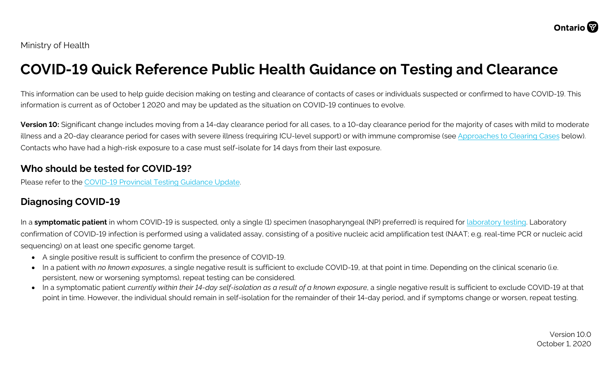# **COVID-19 Quick Reference Public Health Guidance on Testing and Clearance**

This information can be used to help guide decision making on testing and clearance of contacts of cases or individuals suspected or confirmed to have COVID-19. This information is current as of October 1 2020 and may be updated as the situation on COVID-19 continues to evolve.

**Version 10:** Significant change includes moving from a 14-day clearance period for all cases, to a 10-day clearance period for the majority of cases with mild to moderate illness and a 20-day clearance period for cases with severe illness (requiring ICU-level support) or with immune compromise (see [Approaches to](#page-2-0) Clearing Cases below). Contacts who have had a high-risk exposure to a case must self-isolate for 14 days from their last exposure.

### **Who should be tested for COVID-19?**

Please refer to the [COVID-19 Provincial](http://www.health.gov.on.ca/en/pro/programs/publichealth/coronavirus/2019_guidance.aspx) Testing Guidance Update.

### **Diagnosing COVID-19**

In a **symptomatic patient** in whom COVID-19 is suspected, only a single (1) specimen (nasopharyngeal (NP) preferred) is required for [laboratory testing.](https://www.publichealthontario.ca/en/laboratory-services/test-information-index/wuhan-novel-coronavirus) Laboratory confirmation of COVID-19 infection is performed using a validated assay, consisting of a positive nucleic acid amplification test (NAAT; e.g. real-time PCR or nucleic acid sequencing) on at least one specific genome target.

- A single positive result is sufficient to confirm the presence of COVID-19.
- In a patient with *no known exposures*, a single negative result is sufficient to exclude COVID-19, at that point in time. Depending on the clinical scenario (i.e. persistent, new or worsening symptoms), repeat testing can be considered.
- In a symptomatic patient *currently within their 14-day self-isolation as a result of a known exposure*, a single negative result is sufficient to exclude COVID-19 at that point in time. However, the individual should remain in self-isolation for the remainder of their 14-day period, and if symptoms change or worsen, repeat testing.

Version 10.0 October 1, 2020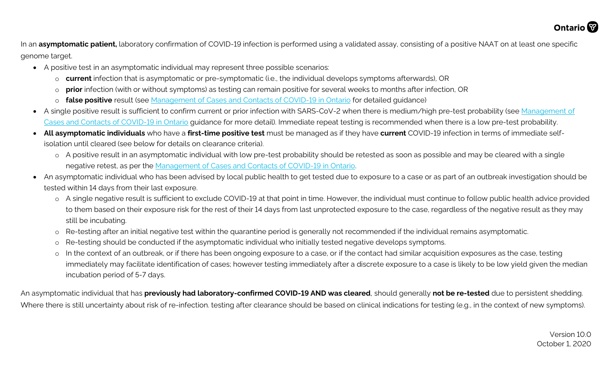

In an **asymptomatic patient,** laboratory confirmation of COVID-19 infection is performed using a validated assay, consisting of a positive NAAT on at least one specific genome target.

- A positive test in an asymptomatic individual may represent three possible scenarios:
	- o **current** infection that is asymptomatic or pre-symptomatic (i.e., the individual develops symptoms afterwards), OR
	- o **prior** infection (with or without symptoms) as testing can remain positive for several weeks to months after infection, OR
	- o **false positive** result (see [Management of Cases and Contacts of COVID-19 in Ontario](http://www.health.gov.on.ca/en/pro/programs/publichealth/coronavirus/docs/contact_mngmt/management_cases_contacts.pdf) for detailed guidance)
- A single positive result is sufficient to confirm current or prior infection with SARS-CoV-2 when there is medium/high pre-test probability (see [Management of](http://www.health.gov.on.ca/en/pro/programs/publichealth/coronavirus/docs/contact_mngmt/management_cases_contacts.pdf) [Cases and Contacts of COVID-19 in Ontario](http://www.health.gov.on.ca/en/pro/programs/publichealth/coronavirus/docs/contact_mngmt/management_cases_contacts.pdf) guidance for more detail). Immediate repeat testing is recommended when there is a low pre-test probability.
- **All asymptomatic individuals** who have a **first-time positive test** must be managed as if they have **current** COVID-19 infection in terms of immediate selfisolation until cleared (see below for details on clearance criteria).
	- o A positive result in an asymptomatic individual with low pre-test probability should be retested as soon as possible and may be cleared with a single negative retest, as per the [Management of Cases and Contacts of COVID-19 in Ontario.](http://www.health.gov.on.ca/en/pro/programs/publichealth/coronavirus/docs/contact_mngmt/management_cases_contacts.pdf)
- An asymptomatic individual who has been advised by local public health to get tested due to exposure to a case or as part of an outbreak investigation should be tested within 14 days from their last exposure.
	- o A single negative result is sufficient to exclude COVID-19 at that point in time. However, the individual must continue to follow public health advice provided to them based on their exposure risk for the rest of their 14 days from last unprotected exposure to the case, regardless of the negative result as they may still be incubating.
	- o Re-testing after an initial negative test within the quarantine period is generally not recommended if the individual remains asymptomatic.
	- o Re-testing should be conducted if the asymptomatic individual who initially tested negative develops symptoms.
	- o In the context of an outbreak, or if there has been ongoing exposure to a case, or if the contact had similar acquisition exposures as the case, testing immediately may facilitate identification of cases; however testing immediately after a discrete exposure to a case is likely to be low yield given the median incubation period of 5-7 days.

An asymptomatic individual that has **previously had laboratory-confirmed COVID-19 AND was cleared**, should generally **not be re-tested** due to persistent shedding. Where there is still uncertainty about risk of re-infection. testing after clearance should be based on clinical indications for testing (e.g., in the context of new symptoms).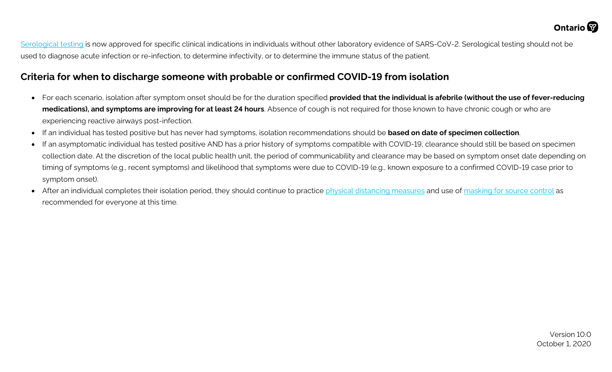[Serological testing](https://www.publichealthontario.ca/en/laboratory-services/test-information-index/covid-19-serology) is now approved for specific clinical indications in individuals without other laboratory evidence of SARS-CoV-2. Serological testing should not be used to diagnose acute infection or re-infection, to determine infectivity, or to determine the immune status of the patient.

### **Criteria for when to discharge someone with probable or confirmed COVID-19 from isolation**

- For each scenario, isolation after symptom onset should be for the duration specified **provided that the individual is afebrile (without the use of fever-reducing medications), and symptoms are improving for at least 24 hours**. Absence of cough is not required for those known to have chronic cough or who are experiencing reactive airways post-infection.
- If an individual has tested positive but has never had symptoms, isolation recommendations should be **based on date of specimen collection**.
- If an asymptomatic individual has tested positive AND has a prior history of symptoms compatible with COVID-19, clearance should still be based on specimen collection date. At the discretion of the local public health unit, the period of communicability and clearance may be based on symptom onset date depending on timing of symptoms (e.g., recent symptoms) and likelihood that symptoms were due to COVID-19 (e.g., known exposure to a confirmed COVID-19 case prior to symptom onset).
- <span id="page-2-0"></span>• After an individual completes their isolation period, they should continue to practice [physical distancing measures](https://www.publichealthontario.ca/en/diseases-and-conditions/infectious-diseases/respiratory-diseases/novel-coronavirus/public-resources) and use of [masking for source control](https://www.publichealthontario.ca/-/media/documents/ncov/factsheet/2020/05/factsheet-covid-19-masks-not-healthcare.pdf?la=en) as recommended for everyone at this time.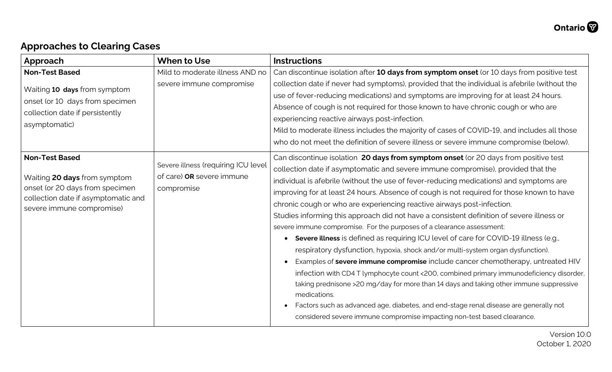## **Approaches to Clearing Cases**

| Approach                                                                                                                                                     | <b>When to Use</b>                                                             | <b>Instructions</b>                                                                                                                                                                                                                                                                                                                                                                                                                                                                                                                                                                                                                                                                                                                                                                                                                                                                                                                                                                                                                                                                                                                                                                                                                                    |
|--------------------------------------------------------------------------------------------------------------------------------------------------------------|--------------------------------------------------------------------------------|--------------------------------------------------------------------------------------------------------------------------------------------------------------------------------------------------------------------------------------------------------------------------------------------------------------------------------------------------------------------------------------------------------------------------------------------------------------------------------------------------------------------------------------------------------------------------------------------------------------------------------------------------------------------------------------------------------------------------------------------------------------------------------------------------------------------------------------------------------------------------------------------------------------------------------------------------------------------------------------------------------------------------------------------------------------------------------------------------------------------------------------------------------------------------------------------------------------------------------------------------------|
| <b>Non-Test Based</b>                                                                                                                                        | Mild to moderate illness AND no                                                | Can discontinue isolation after 10 days from symptom onset (or 10 days from positive test                                                                                                                                                                                                                                                                                                                                                                                                                                                                                                                                                                                                                                                                                                                                                                                                                                                                                                                                                                                                                                                                                                                                                              |
| Waiting 10 days from symptom<br>onset (or 10 days from specimen<br>collection date if persistently<br>asymptomatic)                                          | severe immune compromise                                                       | collection date if never had symptoms), provided that the individual is afebrile (without the<br>use of fever-reducing medications) and symptoms are improving for at least 24 hours.<br>Absence of cough is not required for those known to have chronic cough or who are<br>experiencing reactive airways post-infection.<br>Mild to moderate illness includes the majority of cases of COVID-19, and includes all those<br>who do not meet the definition of severe illness or severe immune compromise (below).                                                                                                                                                                                                                                                                                                                                                                                                                                                                                                                                                                                                                                                                                                                                    |
| <b>Non-Test Based</b><br>Waiting 20 days from symptom<br>onset (or 20 days from specimen<br>collection date if asymptomatic and<br>severe immune compromise) | Severe illness (requiring ICU level<br>of care) OR severe immune<br>compromise | Can discontinue isolation 20 days from symptom onset (or 20 days from positive test<br>collection date if asymptomatic and severe immune compromise), provided that the<br>individual is afebrile (without the use of fever-reducing medications) and symptoms are<br>improving for at least 24 hours. Absence of cough is not required for those known to have<br>chronic cough or who are experiencing reactive airways post-infection.<br>Studies informing this approach did not have a consistent definition of severe illness or<br>severe immune compromise. For the purposes of a clearance assessment:<br>Severe illness is defined as requiring ICU level of care for COVID-19 illness (e.g.,<br>respiratory dysfunction, hypoxia, shock and/or multi-system organ dysfunction).<br>Examples of severe immune compromise include cancer chemotherapy, untreated HIV<br>infection with CD4 T lymphocyte count <200, combined primary immunodeficiency disorder,<br>taking prednisone >20 mg/day for more than 14 days and taking other immune suppressive<br>medications.<br>Factors such as advanced age, diabetes, and end-stage renal disease are generally not<br>considered severe immune compromise impacting non-test based clearance. |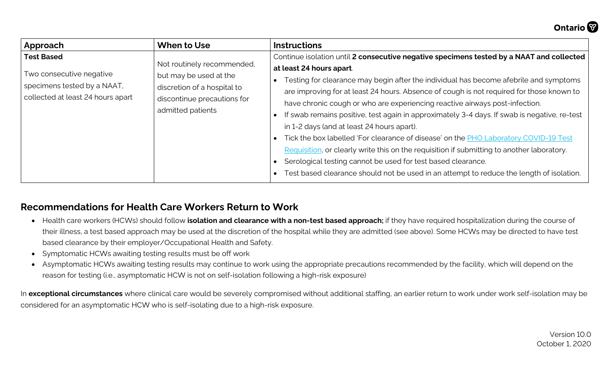

| Approach                          | When to Use                                                                                                                             | <b>Instructions</b>                                                                          |
|-----------------------------------|-----------------------------------------------------------------------------------------------------------------------------------------|----------------------------------------------------------------------------------------------|
| <b>Test Based</b>                 | Not routinely recommended,<br>but may be used at the<br>discretion of a hospital to<br>discontinue precautions for<br>admitted patients | Continue isolation until 2 consecutive negative specimens tested by a NAAT and collected     |
| Two consecutive negative          |                                                                                                                                         | at least 24 hours apart.                                                                     |
| specimens tested by a NAAT,       |                                                                                                                                         | Testing for clearance may begin after the individual has become afebrile and symptoms        |
| collected at least 24 hours apart |                                                                                                                                         | are improving for at least 24 hours. Absence of cough is not required for those known to     |
|                                   |                                                                                                                                         | have chronic cough or who are experiencing reactive airways post-infection.                  |
|                                   |                                                                                                                                         | If swab remains positive, test again in approximately 3-4 days. If swab is negative, re-test |
|                                   |                                                                                                                                         | in 1-2 days (and at least 24 hours apart).                                                   |
|                                   |                                                                                                                                         | Tick the box labelled 'For clearance of disease' on the <b>PHO Laboratory COVID-19 Test</b>  |
|                                   |                                                                                                                                         | Requisition, or clearly write this on the requisition if submitting to another laboratory.   |
|                                   |                                                                                                                                         | Serological testing cannot be used for test based clearance.                                 |
|                                   |                                                                                                                                         | Test based clearance should not be used in an attempt to reduce the length of isolation.     |

### **Recommendations for Health Care Workers Return to Work**

- Health care workers (HCWs) should follow **isolation and clearance with a non-test based approach;** if they have required hospitalization during the course of their illness, a test based approach may be used at the discretion of the hospital while they are admitted (see above). Some HCWs may be directed to have test based clearance by their employer/Occupational Health and Safety.
- Symptomatic HCWs awaiting testing results must be off work
- Asymptomatic HCWs awaiting testing results may continue to work using the appropriate precautions recommended by the facility, which will depend on the reason for testing (i.e., asymptomatic HCW is not on self-isolation following a high-risk exposure)

In **exceptional circumstances** where clinical care would be severely compromised without additional staffing, an earlier return to work under work self-isolation may be considered for an asymptomatic HCW who is self-isolating due to a high-risk exposure.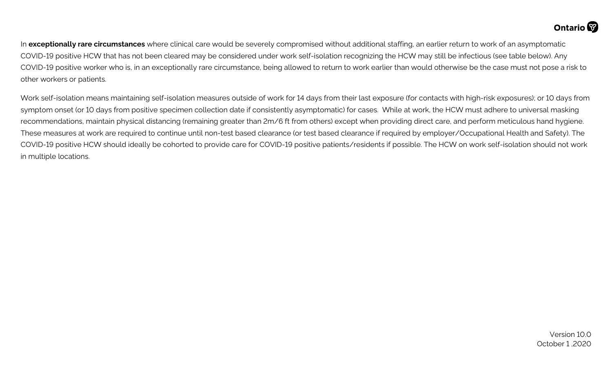In **exceptionally rare circumstances** where clinical care would be severely compromised without additional staffing, an earlier return to work of an asymptomatic COVID-19 positive HCW that has not been cleared may be considered under work self-isolation recognizing the HCW may still be infectious (see table below). Any COVID-19 positive worker who is, in an exceptionally rare circumstance, being allowed to return to work earlier than would otherwise be the case must not pose a risk to other workers or patients.

Work self-isolation means maintaining self-isolation measures outside of work for 14 days from their last exposure (for contacts with high-risk exposures); or 10 days from symptom onset (or 10 days from positive specimen collection date if consistently asymptomatic) for cases. While at work, the HCW must adhere to universal masking recommendations, maintain physical distancing (remaining greater than 2m/6 ft from others) except when providing direct care, and perform meticulous hand hygiene. These measures at work are required to continue until non-test based clearance (or test based clearance if required by employer/Occupational Health and Safety). The COVID-19 positive HCW should ideally be cohorted to provide care for COVID-19 positive patients/residents if possible. The HCW on work self-isolation should not work in multiple locations.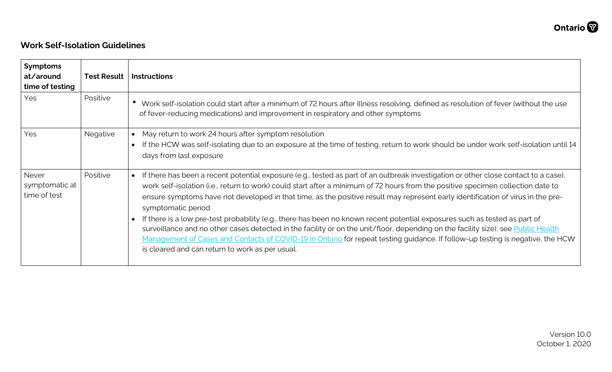#### **Work Self-Isolation Guidelines**

| <b>Symptoms</b><br>at/around<br>time of testing | <b>Test Result</b> | <b>Instructions</b>                                                                                                                                                                                                                                                                                                                                                                                                                                                                                                                                                                                                                                                                                                                                                                                                                                                                                                |
|-------------------------------------------------|--------------------|--------------------------------------------------------------------------------------------------------------------------------------------------------------------------------------------------------------------------------------------------------------------------------------------------------------------------------------------------------------------------------------------------------------------------------------------------------------------------------------------------------------------------------------------------------------------------------------------------------------------------------------------------------------------------------------------------------------------------------------------------------------------------------------------------------------------------------------------------------------------------------------------------------------------|
| Yes                                             | Positive           | Work self-isolation could start after a minimum of 72 hours after illness resolving, defined as resolution of fever (without the use<br>of fever-reducing medications) and improvement in respiratory and other symptoms                                                                                                                                                                                                                                                                                                                                                                                                                                                                                                                                                                                                                                                                                           |
| Yes                                             | Negative           | May return to work 24 hours after symptom resolution<br>$\bullet$<br>If the HCW was self-isolating due to an exposure at the time of testing, return to work should be under work self-isolation until 14<br>days from last exposure                                                                                                                                                                                                                                                                                                                                                                                                                                                                                                                                                                                                                                                                               |
| Never<br>symptomatic at<br>time of test         | Positive           | If there has been a recent potential exposure (e.g., tested as part of an outbreak investigation or other close contact to a case),<br>$\bullet$<br>work self-isolation (i.e., return to work) could start after a minimum of 72 hours from the positive specimen collection date to<br>ensure symptoms have not developed in that time, as the positive result may represent early identification of virus in the pre-<br>symptomatic period<br>If there is a low pre-test probability (e.g., there has been no known recent potential exposures such as tested as part of<br>$\bullet$<br>surveillance and no other cases detected in the facility or on the unit/floor, depending on the facility size), see Public Health<br>Management of Cases and Contacts of COVID-19 in Ontario for repeat testing guidance. If follow-up testing is negative, the HCW<br>is cleared and can return to work as per usual. |